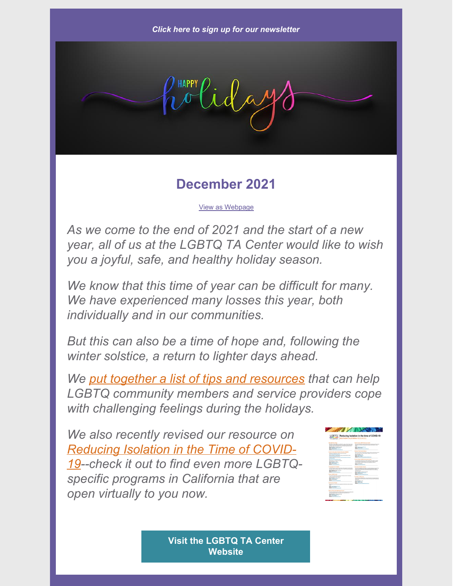### **December 2021**

### View as [Webpage](https://campaignlp.constantcontact.com/em/1101289295579/0290cc0b-1321-4d2a-b345-adbe2879560f)

*As we come to the end of 2021 and the start of a new year, all of us at the LGBTQ TA Center would like to wish you a joyful, safe, and healthy holiday season.*

*We know that this time of year can be difficult for many. We have experienced many losses this year, both individually and in our communities.*

*But this can also be a time of hope and, following the winter solstice, a return to lighter days ahead.*

*We put together a list of tips and [resources](https://myemail.constantcontact.com/LGBTQ-TA-Center---Equity-Newsflash---December-2019.html?soid=1101289295579&aid=i7Ua8PZdToI) that can help LGBTQ community members and service providers cope with challenging feelings during the holidays.*

*We also recently revised our resource on Reducing Isolation in the Time of COVID-[19--check](https://files.constantcontact.com/bde05f96001/f9e24124-490c-4ec5-b7f9-4aaf4aa4a89a.pdf) it out to find even more LGBTQspecific programs in California that are open virtually to you now.*



**Visit the LGBTQ TA Center [Website](http://lgbtq-ta-center.org/)**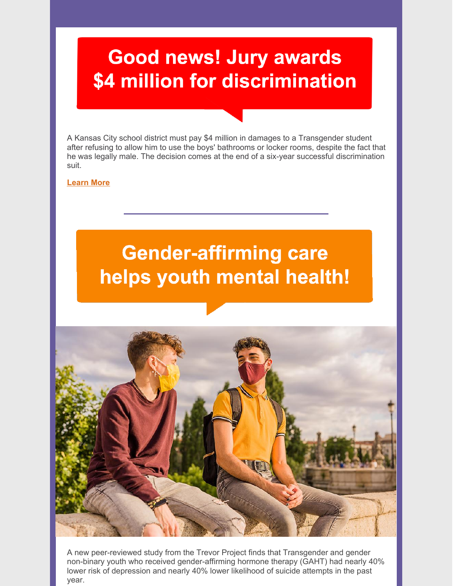## **Good news! Jury awards** \$4 million for discrimination

A Kansas City school district must pay \$4 million in damages to a Transgender student after refusing to allow him to use the boys' bathrooms or locker rooms, despite the fact that he was legally male. The decision comes at the end of a six-year successful discrimination suit.

### **[Learn](https://www.nbcnews.com/nbc-out/out-news/jury-awards-4-million-missouri-transgender-student-rcna8867) More**

# **Gender-affirming care** helps youth mental health!



A new peer-reviewed study from the Trevor Project finds that Transgender and gender non-binary youth who received gender-affirming hormone therapy (GAHT) had nearly 40% lower risk of depression and nearly 40% lower likelihood of suicide attempts in the past year.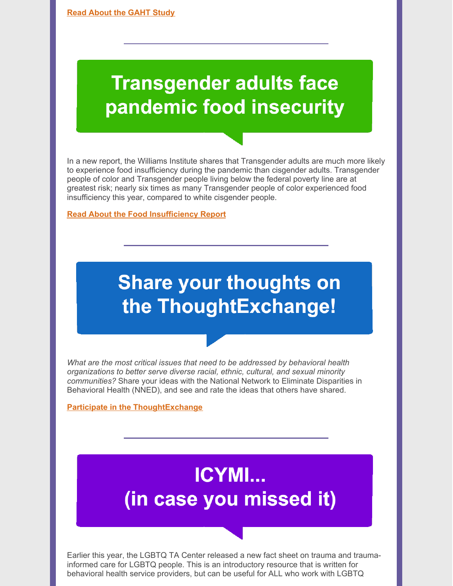## **Transgender adults face** pandemic food insecurity

In a new report, the Williams Institute shares that Transgender adults are much more likely to experience food insufficiency during the pandemic than cisgender adults. Transgender people of color and Transgender people living below the federal poverty line are at greatest risk; nearly six times as many Transgender people of color experienced food insufficiency this year, compared to white cisgender people.

#### **Read About the Food [Insufficiency](https://williamsinstitute.law.ucla.edu/publications/trans-food-insufficiency-covid/) Report**

# **Share your thoughts on** the ThoughtExchange!

*What are the most critical issues that need to be addressed by behavioral health organizations to better serve diverse racial, ethnic, cultural, and sexual minority communities?* Share your ideas with the National Network to Eliminate Disparities in Behavioral Health (NNED), and see and rate the ideas that others have shared.

#### **Participate in the [ThoughtExchange](https://my.thoughtexchange.com/scroll/968992402)**

# **ICYMI...** (in case you missed it)

Earlier this year, the LGBTQ TA Center released a new fact sheet on trauma and traumainformed care for LGBTQ people. This is an introductory resource that is written for behavioral health service providers, but can be useful for ALL who work with LGBTQ